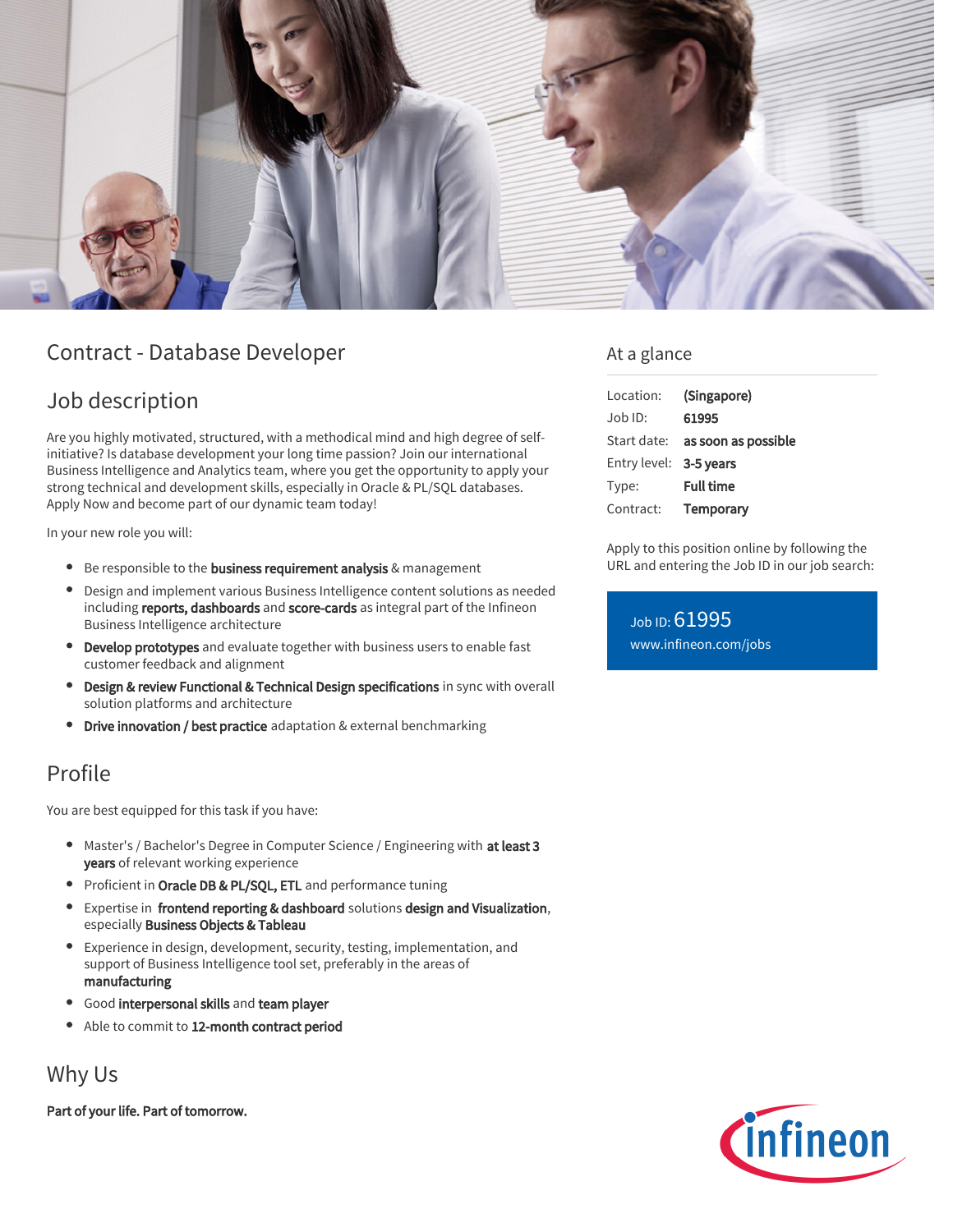

# Contract - Database Developer

## Job description

Are you highly motivated, structured, with a methodical mind and high degree of selfinitiative? Is database development your long time passion? Join our international Business Intelligence and Analytics team, where you get the opportunity to apply your strong technical and development skills, especially in Oracle & PL/SQL databases. Apply Now and become part of our dynamic team today!

In your new role you will:

- **Be responsible to the business requirement analysis & management**
- Design and implement various Business Intelligence content solutions as needed including reports, dashboards and score-cards as integral part of the Infineon Business Intelligence architecture
- **Develop prototypes** and evaluate together with business users to enable fast customer feedback and alignment
- Design & review Functional & Technical Design specifications in sync with overall solution platforms and architecture
- Drive innovation / best practice adaptation & external benchmarking

### Profile

You are best equipped for this task if you have:

- Master's / Bachelor's Degree in Computer Science / Engineering with at least 3 years of relevant working experience
- Proficient in Oracle DB & PL/SQL, ETL and performance tuning
- Expertise in frontend reporting & dashboard solutions design and Visualization, especially Business Objects & Tableau
- Experience in design, development, security, testing, implementation, and support of Business Intelligence tool set, preferably in the areas of manufacturing
- Good interpersonal skills and team player
- Able to commit to 12-month contract period

## Why Us

Part of your life. Part of tomorrow.

#### At a glance

| Location:              | (Singapore)                            |
|------------------------|----------------------------------------|
| $Job$ ID:              | 61995                                  |
|                        | Start date: <b>as soon as possible</b> |
| Entry level: 3-5 years |                                        |
| Type:                  | <b>Full time</b>                       |
| Contract:              | Temporary                              |

Apply to this position online by following the URL and entering the Job ID in our job search:

Job ID: 61995 [www.infineon.com/jobs](https://www.infineon.com/jobs)